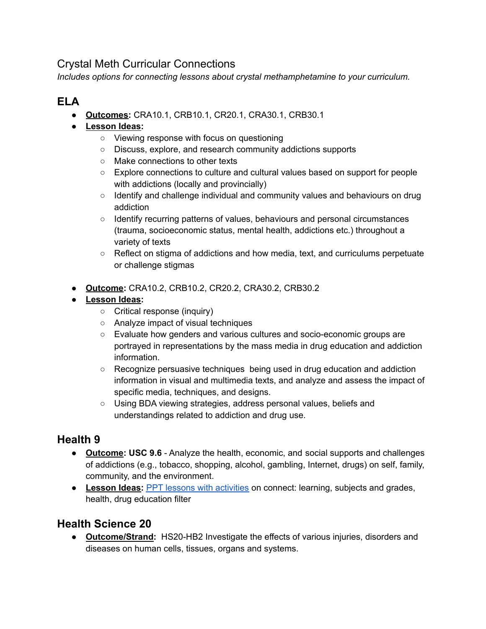## Crystal Meth Curricular Connections

*Includes options for connecting lessons about crystal methamphetamine to your curriculum.*

# **ELA**

● **Outcomes:** CRA10.1, CRB10.1, CR20.1, CRA30.1, CRB30.1

#### **● Lesson Ideas:**

- Viewing response with focus on questioning
- Discuss, explore, and research community addictions supports
- Make connections to other texts
- Explore connections to culture and cultural values based on support for people with addictions (locally and provincially)
- Identify and challenge individual and community values and behaviours on drug addiction
- Identify recurring patterns of values, behaviours and personal circumstances (trauma, socioeconomic status, mental health, addictions etc.) throughout a variety of texts
- Reflect on stigma of addictions and how media, text, and curriculums perpetuate or challenge stigmas
- **Outcome:** CRA10.2, CRB10.2, CR20.2, CRA30.2, CRB30.2
- **Lesson Ideas:**
	- Critical response (inquiry)
	- Analyze impact of visual techniques
	- Evaluate how genders and various cultures and socio-economic groups are portrayed in representations by the mass media in drug education and addiction information.
	- Recognize persuasive techniques being used in drug education and addiction information in visual and multimedia texts, and analyze and assess the impact of specific media, techniques, and designs.
	- Using BDA viewing strategies, address personal values, beliefs and understandings related to addiction and drug use.

## **Health 9**

- **Outcome: USC 9.6** Analyze the health, economic, and social supports and challenges of addictions (e.g., tobacco, shopping, alcohol, gambling, Internet, drugs) on self, family, community, and the environment.
- **Lesson Ideas:** PPT lessons with [activities](https://connect.prairiesouth.ca/learning/subjects/Health%20Education1/Forms/AllItems.aspx#ServerFilter=FilterField1%3DType%255Fx0020%255Fof%255Fx0020%255FResource-FilterValue1%3DDrug%2520Education-) on connect: learning, subjects and grades, health, drug education filter

#### **Health Science 20**

● **Outcome/Strand:** HS20-HB2 Investigate the effects of various injuries, disorders and diseases on human cells, tissues, organs and systems.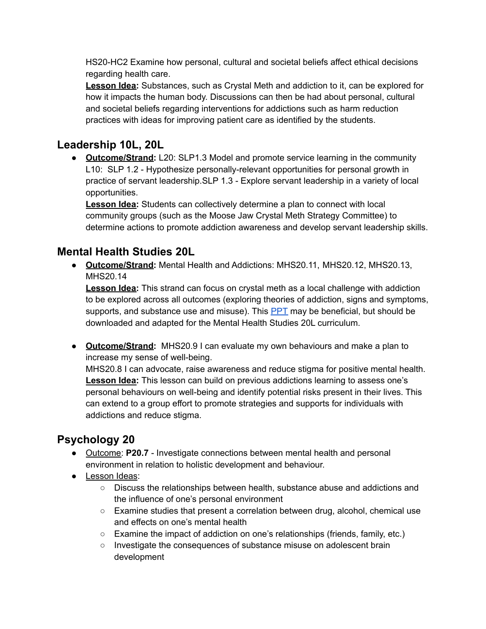HS20-HC2 Examine how personal, cultural and societal beliefs affect ethical decisions regarding health care.

**Lesson Idea:** Substances, such as Crystal Meth and addiction to it, can be explored for how it impacts the human body. Discussions can then be had about personal, cultural and societal beliefs regarding interventions for addictions such as harm reduction practices with ideas for improving patient care as identified by the students.

### **Leadership 10L, 20L**

● **Outcome/Strand:** L20: SLP1.3 Model and promote service learning in the community L10: SLP 1.2 - Hypothesize personally-relevant opportunities for personal growth in practice of servant leadership.SLP 1.3 - Explore servant leadership in a variety of local opportunities.

**Lesson Idea:** Students can collectively determine a plan to connect with local community groups (such as the Moose Jaw Crystal Meth Strategy Committee) to determine actions to promote addiction awareness and develop servant leadership skills.

### **Mental Health Studies 20L**

● **Outcome/Strand:** Mental Health and Addictions: MHS20.11, MHS20.12, MHS20.13, MHS20.14

**Lesson Idea:** This strand can focus on crystal meth as a local challenge with addiction to be explored across all outcomes (exploring theories of addiction, signs and symptoms, supports, and substance use and misuse). This  $\frac{PPT}{T}$  $\frac{PPT}{T}$  $\frac{PPT}{T}$  may be beneficial, but should be downloaded and adapted for the Mental Health Studies 20L curriculum.

● **Outcome/Strand:** MHS20.9 I can evaluate my own behaviours and make a plan to increase my sense of well-being.

MHS20.8 I can advocate, raise awareness and reduce stigma for positive mental health. **Lesson Idea:** This lesson can build on previous addictions learning to assess one's personal behaviours on well-being and identify potential risks present in their lives. This can extend to a group effort to promote strategies and supports for individuals with addictions and reduce stigma.

# **Psychology 20**

- Outcome: **P20.7** Investigate connections between mental health and personal environment in relation to holistic development and behaviour.
- Lesson Ideas:
	- Discuss the relationships between health, substance abuse and addictions and the influence of one's personal environment
	- Examine studies that present a correlation between drug, alcohol, chemical use and effects on one's mental health
	- Examine the impact of addiction on one's relationships (friends, family, etc.)
	- Investigate the consequences of substance misuse on adolescent brain development